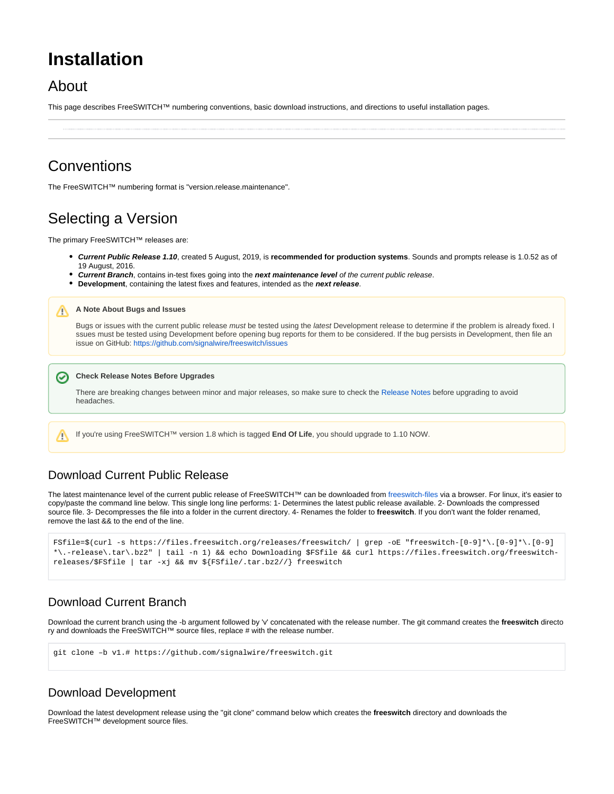# **Installation**

# About

∽

Λ

This page describes FreeSWITCH™ numbering conventions, basic download instructions, and directions to useful installation pages.

# **Conventions**

The FreeSWITCH™ numbering format is "version.release.maintenance".

# Selecting a Version

The primary FreeSWITCH™ releases are:

- **Current Public Release 1.10**, created 5 August, 2019, is **recommended for production systems**. Sounds and prompts release is 1.0.52 as of 19 August, 2016.
- **Current Branch**, contains in-test fixes going into the **next maintenance level** of the current public release.
- **Development**, containing the latest fixes and features, intended as the **next release**.

#### **A Note About Bugs and Issues**

Bugs or issues with the current public release must be tested using the latest Development release to determine if the problem is already fixed. I ssues must be tested using Development before opening bug reports for them to be considered. If the bug persists in Development, then file an issue on GitHub:<https://github.com/signalwire/freeswitch/issues>

#### **Check Release Notes Before Upgrades**

There are breaking changes between minor and major releases, so make sure to check the [Release Notes](https://freeswitch.org/confluence/display/FREESWITCH/Release+Notes) before upgrading to avoid headaches.

If you're using FreeSWITCH™ version 1.8 which is tagged **End Of Life**, you should upgrade to 1.10 NOW.

# Download Current Public Release

The latest maintenance level of the current public release of FreeSWITCH™ can be downloaded from [freeswitch-files](https://files.freeswitch.org/freeswitch-releases/) via a browser. For linux, it's easier to copy/paste the command line below. This single long line performs: 1- Determines the latest public release available. 2- Downloads the compressed source file. 3- Decompresses the file into a folder in the current directory. 4- Renames the folder to **freeswitch**. If you don't want the folder renamed, remove the last && to the end of the line.

```
FSfile=$(curl -s https://files.freeswitch.org/releases/freeswitch/ | grep -oE "freeswitch-[0-9]*\.[0-9]*\.[0-9]
*\.-release\.tar\.bz2" | tail -n 1) && echo Downloading $FSfile && curl https://files.freeswitch.org/freeswitch-
releases/$FSfile | tar -xj && mv ${FSfile/.tar.bz2//} freeswitch
```
# Download Current Branch

Download the current branch using the -b argument followed by 'v' concatenated with the release number. The git command creates the **freeswitch** directo ry and downloads the FreeSWITCH™ source files, replace # with the release number.

git clone –b v1.# https://github.com/signalwire/freeswitch.git

#### Download Development

Download the latest development release using the "git clone" command below which creates the **freeswitch** directory and downloads the FreeSWITCH™ development source files.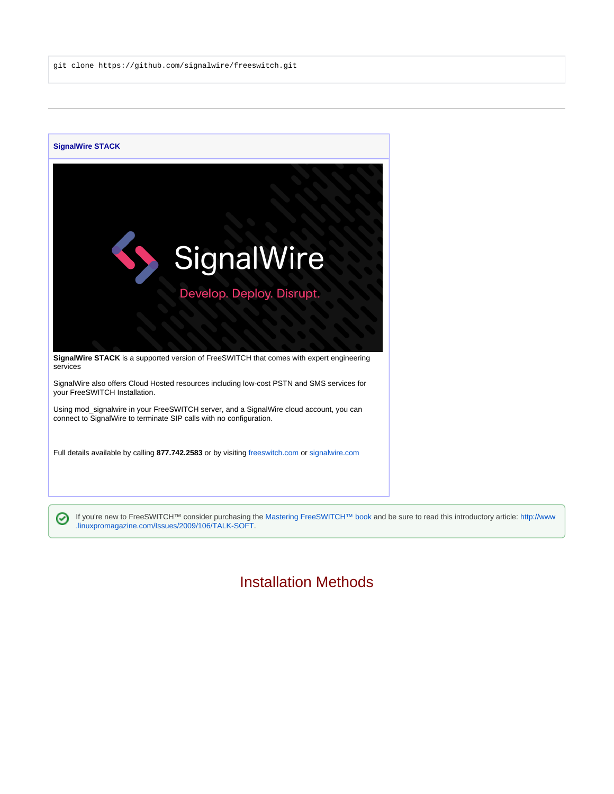git clone https://github.com/signalwire/freeswitch.git



If you're new to FreeSWITCH™ consider purchasing the [Mastering FreeSWITCH™ book](https://www.packtpub.com/networking-and-servers/mastering-freeswitch) and be sure to read this introductory article: [http://www](http://www.linuxpromagazine.com/Issues/2009/106/TALK-SOFT) [.linuxpromagazine.com/Issues/2009/106/TALK-SOFT](http://www.linuxpromagazine.com/Issues/2009/106/TALK-SOFT).

# Installation Methods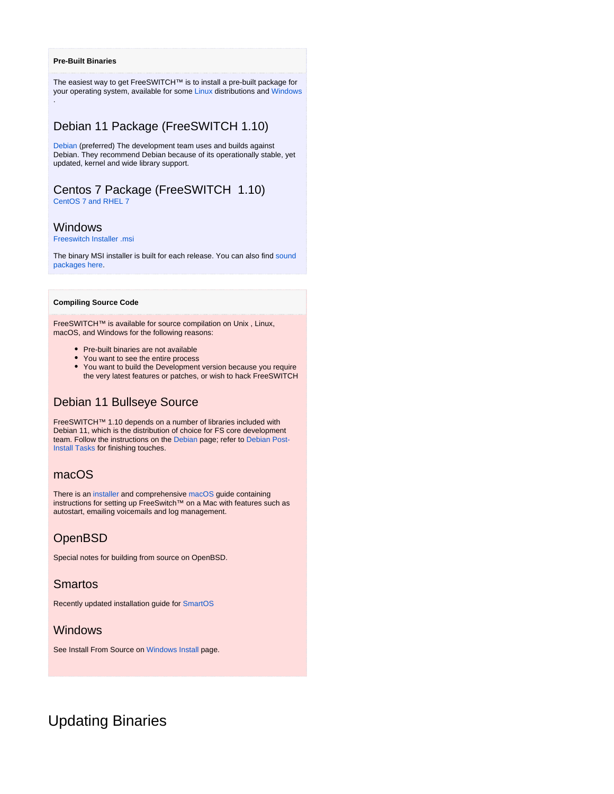#### **Pre-Built Binaries**

.

The easiest way to get FreeSWITCH™ is to install a pre-built package for your operating system, available for some [Linux](https://freeswitch.org/confluence/display/FREESWITCH/Linux) distributions and [Windows](https://freeswitch.org/confluence/display/FREESWITCH/Windows+Install)

### Debian 11 Package (FreeSWITCH 1.10)

[Debian](https://freeswitch.org/confluence/display/FREESWITCH/Debian) (preferred) The development team uses and builds against Debian. They recommend Debian because of its operationally stable, yet updated, kernel and wide library support.

# Centos 7 Package (FreeSWITCH 1.10)

[CentOS 7 and RHEL 7](https://freeswitch.org/confluence/display/FREESWITCH/CentOS+7+and+RHEL+7#CentOS7andRHEL7-CentOS7andRHEL7-Stable)

#### Windows

[Freeswitch Installer .msi](https://files.freeswitch.org/windows/installer/x64/)

The binary MSI installer is built for each release. You can also find sound [packages here](https://files.freeswitch.org/windows/installer/x64/sounds/).

#### **Compiling Source Code**

FreeSWITCH™ is available for source compilation on Unix , Linux, macOS, and Windows for the following reasons:

- Pre-built binaries are not available
- You want to see the entire process
- You want to build the Development version because you require the very latest features or patches, or wish to hack FreeSWITCH

# Debian 11 Bullseye Source

FreeSWITCH™ 1.10 depends on a number of libraries included with Debian 11, which is the distribution of choice for FS core development team. Follow the instructions on the [Debian](https://freeswitch.org/confluence/display/FREESWITCH/Debian) page; refer to [Debian Post-](https://freeswitch.org/confluence/display/FREESWITCH/Debian+Post-Install+Tasks)[Install Tasks](https://freeswitch.org/confluence/display/FREESWITCH/Debian+Post-Install+Tasks) for finishing touches.

#### macOS

There is an [installer](https://freeswitch.org/confluence/display/FREESWITCH/macOS+macFI+Installation) and comprehensive [macOS](https://freeswitch.org/confluence/display/FREESWITCH/macOS) guide containing instructions for setting up FreeSwitch™ on a Mac with features such as autostart, emailing voicemails and log management.

# **OpenBSD**

Special notes for building from source on OpenBSD.

### Smartos

Recently updated installation guide for [SmartOS](https://freeswitch.org/confluence/display/FREESWITCH/SmartOS)

### Windows

See Install From Source on [Windows Install](https://freeswitch.org/confluence/display/FREESWITCH/Windows+Install#WindowsInstall-InstallfromSource) page.

# Updating Binaries